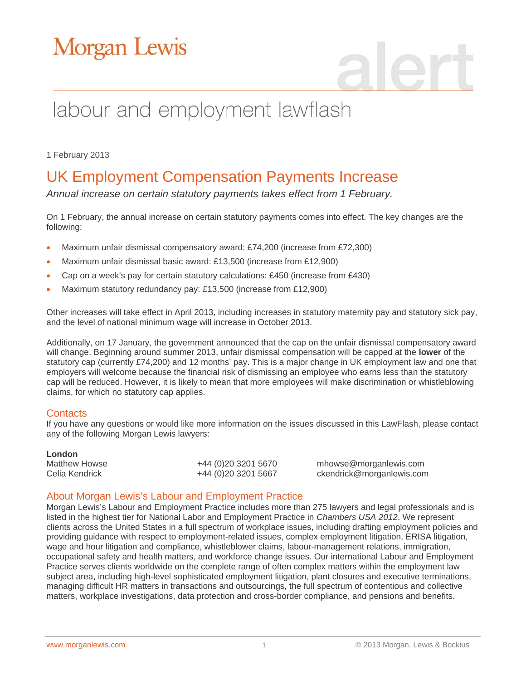# Morgan Lewis

# labour and employment lawflash

1 February 2013

## UK Employment Compensation Payments Increase

*Annual increase on certain statutory payments takes effect from 1 February.*

On 1 February, the annual increase on certain statutory payments comes into effect. The key changes are the following:

- Maximum unfair dismissal compensatory award: £74,200 (increase from £72,300)
- Maximum unfair dismissal basic award: £13,500 (increase from £12,900)
- Cap on a week's pay for certain statutory calculations: £450 (increase from £430)
- Maximum statutory redundancy pay: £13,500 (increase from £12,900)

Other increases will take effect in April 2013, including increases in statutory maternity pay and statutory sick pay, and the level of national minimum wage will increase in October 2013.

Additionally, on 17 January, the government announced that the cap on the unfair dismissal compensatory award will change. Beginning around summer 2013, unfair dismissal compensation will be capped at the **lower** of the statutory cap (currently £74,200) and 12 months' pay. This is a major change in UK employment law and one that employers will welcome because the financial risk of dismissing an employee who earns less than the statutory cap will be reduced. However, it is likely to mean that more employees will make discrimination or whistleblowing claims, for which no statutory cap applies.

#### **Contacts**

If you have any questions or would like more information on the issues discussed in this LawFlash, please contact any of the following Morgan Lewis lawyers:

| <b>London</b>  |                          |                           |
|----------------|--------------------------|---------------------------|
| Matthew Howse  | +44 (0)20 3201 5670      | mhowse@morganlewis.com    |
| Celia Kendrick | +44 (0) 20 3 201 5 6 6 7 | ckendrick@morganlewis.com |

### About Morgan Lewis's Labour and Employment Practice

Morgan Lewis's Labour and Employment Practice includes more than 275 lawyers and legal professionals and is listed in the highest tier for National Labor and Employment Practice in *Chambers USA 2012*. We represent clients across the United States in a full spectrum of workplace issues, including drafting employment policies and providing guidance with respect to employment-related issues, complex employment litigation, ERISA litigation, wage and hour litigation and compliance, whistleblower claims, labour-management relations, immigration, occupational safety and health matters, and workforce change issues. Our international Labour and Employment Practice serves clients worldwide on the complete range of often complex matters within the employment law subject area, including high-level sophisticated employment litigation, plant closures and executive terminations, managing difficult HR matters in transactions and outsourcings, the full spectrum of contentious and collective matters, workplace investigations, data protection and cross-border compliance, and pensions and benefits.